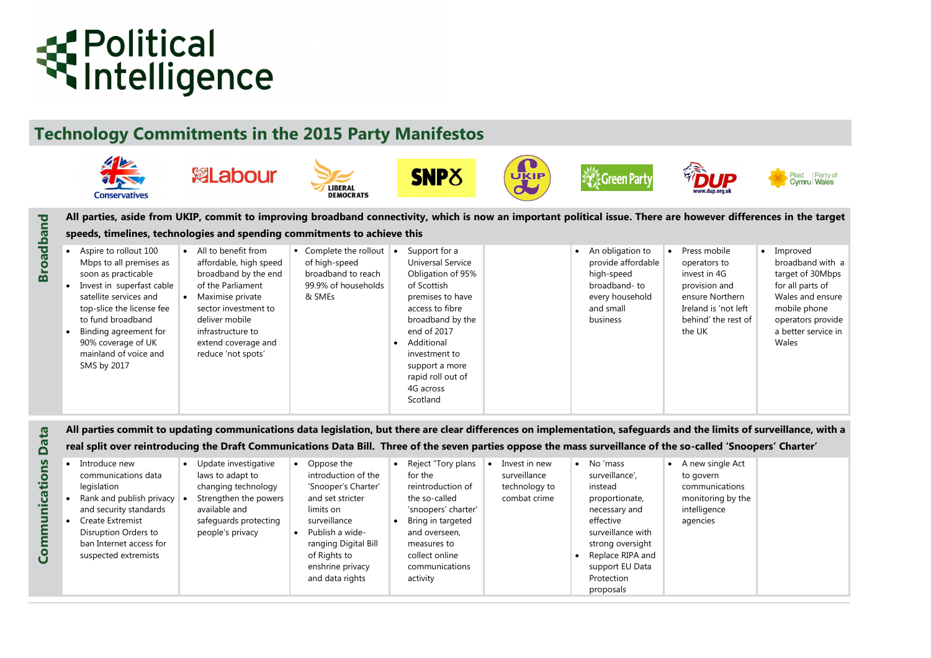# **Technology Commitments in the 2015 Party Manifestos**

# **K** Political<br>
Intelligence

**Broadband**

• Improved broadband with a target of 30Mbps for all parts of Wales and ensure mobile phone operators provide a better service in Wales

# *Alimits of surveillance, with a* **real 'Snoopers' Charter'**

| <b>Conservatives</b>                                                                                                                                                                                                                                                              | <b>總Labour</b>                                                                                                                                                                                                                                       | LIBERAL<br><b>DEMOCRATS</b>                                                                  |                        | <b>SNP</b> <sub>8</sub>                                                                                                                                                                                                                                | <b>UKIP</b> | <b>Green Party</b>                                                                                                            |                                                                                         |
|-----------------------------------------------------------------------------------------------------------------------------------------------------------------------------------------------------------------------------------------------------------------------------------|------------------------------------------------------------------------------------------------------------------------------------------------------------------------------------------------------------------------------------------------------|----------------------------------------------------------------------------------------------|------------------------|--------------------------------------------------------------------------------------------------------------------------------------------------------------------------------------------------------------------------------------------------------|-------------|-------------------------------------------------------------------------------------------------------------------------------|-----------------------------------------------------------------------------------------|
| All parties, aside from UKIP, commit to improving broadband connectivity, which is now an important political issue. There are howe                                                                                                                                               |                                                                                                                                                                                                                                                      |                                                                                              |                        |                                                                                                                                                                                                                                                        |             |                                                                                                                               |                                                                                         |
| speeds, timelines, technologies and spending commitments to achieve this                                                                                                                                                                                                          |                                                                                                                                                                                                                                                      |                                                                                              |                        |                                                                                                                                                                                                                                                        |             |                                                                                                                               |                                                                                         |
| Aspire to rollout 100<br>Mbps to all premises as<br>soon as practicable<br>Invest in superfast cable<br>satellite services and<br>top-slice the license fee<br>to fund broadband<br>Binding agreement for<br>90% coverage of UK<br>mainland of voice and<br>SMS by 2017           | All to benefit from<br>$\bullet$<br>affordable, high speed<br>broadband by the end<br>of the Parliament<br>Maximise private<br>$\bullet$<br>sector investment to<br>deliver mobile<br>infrastructure to<br>extend coverage and<br>reduce 'not spots' | Complete the rollout<br>of high-speed<br>broadband to reach<br>99.9% of households<br>& SMEs | $\bullet$<br>$\bullet$ | Support for a<br><b>Universal Service</b><br>Obligation of 95%<br>of Scottish<br>premises to have<br>access to fibre<br>broadband by the<br>end of 2017<br>Additional<br>investment to<br>support a more<br>rapid roll out of<br>4G across<br>Scotland |             | An obligation to<br>$\bullet$<br>provide affordable<br>high-speed<br>broadband-to<br>every household<br>and small<br>business | Press m<br>operato<br>invest in<br>provisio<br>ensure l<br>Ireland<br>behind'<br>the UK |
| All parties commit to updating communications data legislation, but there are clear differences on implementation, safeguards and the<br>real split over reintroducing the Draft Communications Data Bill. Three of the seven parties oppose the mass surveillance of the so-call |                                                                                                                                                                                                                                                      |                                                                                              |                        |                                                                                                                                                                                                                                                        |             |                                                                                                                               |                                                                                         |

| E4                                                           |                                                                                                                                                                                                                 | All parties commit to updating communications data legislation, but there are clear differences on implementation, safeguards and the limits of surveillance, with a |                                                                                                                                                                                                                       |           |                                                                                                                                                                                                 |                                                                |                                                                                                                                                                                                  |           |                                                                                                  |  |
|--------------------------------------------------------------|-----------------------------------------------------------------------------------------------------------------------------------------------------------------------------------------------------------------|----------------------------------------------------------------------------------------------------------------------------------------------------------------------|-----------------------------------------------------------------------------------------------------------------------------------------------------------------------------------------------------------------------|-----------|-------------------------------------------------------------------------------------------------------------------------------------------------------------------------------------------------|----------------------------------------------------------------|--------------------------------------------------------------------------------------------------------------------------------------------------------------------------------------------------|-----------|--------------------------------------------------------------------------------------------------|--|
| Бa                                                           |                                                                                                                                                                                                                 | real split over reintroducing the Draft Communications Data Bill. Three of the seven parties oppose the mass surveillance of the so-called 'Snoopers' Charter'       |                                                                                                                                                                                                                       |           |                                                                                                                                                                                                 |                                                                |                                                                                                                                                                                                  |           |                                                                                                  |  |
| <u>SU</u><br>$\overline{\mathbf{o}}$<br>unicati<br>$\bar{S}$ | Introduce new<br>communications data<br>legislation<br>Rank and publish privacy<br>and security standards<br><b>Create Extremist</b><br>Disruption Orders to<br>ban Internet access for<br>suspected extremists | Update investigative<br>laws to adapt to<br>changing technology<br>Strengthen the powers<br>available and<br>safeguards protecting<br>people's privacy               | Oppose the<br>introduction of the<br>'Snooper's Charter'<br>and set stricter<br>limits on<br>surveillance<br>$\bullet$ Publish a wide-<br>ranging Digital Bill<br>of Rights to<br>enshrine privacy<br>and data rights | $\bullet$ | Reject "Tory plans<br>for the<br>reintroduction of<br>the so-called<br>'snoopers' charter'<br>Bring in targeted<br>and overseen,<br>measures to<br>collect online<br>communications<br>activity | Invest in new<br>surveillance<br>technology to<br>combat crime | No 'mass<br>surveillance',<br>instead<br>proportionate,<br>necessary and<br>effective<br>surveillance with<br>strong oversight<br>Replace RIPA and<br>support EU Data<br>Protection<br>proposals | $\bullet$ | A new single Act<br>to govern<br>communications<br>monitoring by the<br>intelligence<br>agencies |  |





### **Proprist in the target in the target**

nobile ors to n 4G pn and Northern is 'not left ' the rest of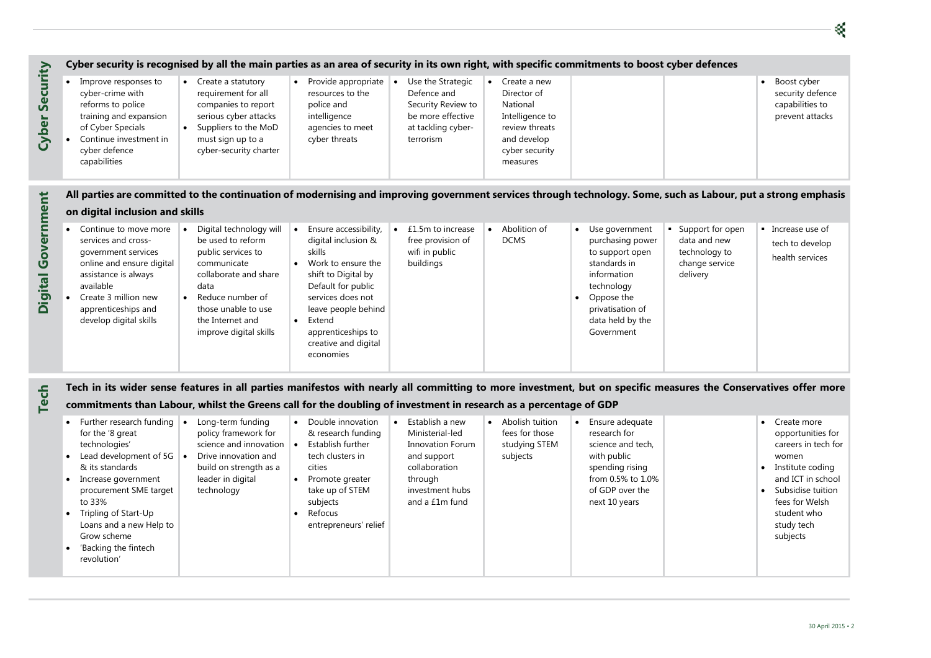• Create 3 million new apprenticeships and develop digital skills • Reduce number of those unable to use the Internet and improve digital skills

| Boost cyber<br>security defence<br>capabilities to |
|----------------------------------------------------|
| prevent attacks                                    |
|                                                    |

### put a strong emphasis

|                   |                                                                                                                                                                                      | Cyber security is recognised by all the main parties as an area of security in its own right, with specific commitments to boost cyber defences                  |                                                                                                                         |                                                                                                                             |                                                                                                                           |                             |                  |
|-------------------|--------------------------------------------------------------------------------------------------------------------------------------------------------------------------------------|------------------------------------------------------------------------------------------------------------------------------------------------------------------|-------------------------------------------------------------------------------------------------------------------------|-----------------------------------------------------------------------------------------------------------------------------|---------------------------------------------------------------------------------------------------------------------------|-----------------------------|------------------|
| Security<br>Cyber | Improve responses to<br>$\bullet$<br>cyber-crime with<br>reforms to police<br>training and expansion<br>of Cyber Specials<br>Continue investment in<br>cyber defence<br>capabilities | Create a statutory<br>requirement for all<br>companies to report<br>serious cyber attacks<br>Suppliers to the MoD<br>must sign up to a<br>cyber-security charter | Provide appropriate<br>$\bullet$<br>resources to the<br>police and<br>intelligence<br>agencies to meet<br>cyber threats | Use the Strategic<br>$\bullet$<br>Defence and<br>Security Review to<br>be more effective<br>at tackling cyber-<br>terrorism | Create a new<br>Director of<br>National<br>Intelligence to<br>review threats<br>and develop<br>cyber security<br>measures |                             |                  |
|                   |                                                                                                                                                                                      | All parties are committed to the continuation of modernising and improving government services through technology. Some, such as Labour, p                       |                                                                                                                         |                                                                                                                             |                                                                                                                           |                             |                  |
| rnment            | on digital inclusion and skills                                                                                                                                                      |                                                                                                                                                                  |                                                                                                                         |                                                                                                                             |                                                                                                                           |                             |                  |
|                   | Continue to move more                                                                                                                                                                | Digital technology will                                                                                                                                          | Ensure accessibility,<br>$\bullet$                                                                                      | £1.5m to increase                                                                                                           | Abolition of                                                                                                              | Use government<br>$\bullet$ | Support for open |

apprenticeships to creative and digital

economies

**•** Extend

privatisation of data held by the Government

| Create more         |
|---------------------|
| opportunities for   |
| careers in tech for |
| women               |
| Institute coding    |

| rt for open<br>nd new<br>plogy to<br>e service<br>ry | tech to develop<br>health services |
|------------------------------------------------------|------------------------------------|
|                                                      |                                    |

**Tech Tech in its wider sense features in all parties manifestos with nearly all committing to more investment, but on specific measures the Conservatives offer more** 

### **commitments than Labour, whilst the Greens call for the doubling of investment in research as a percentage of GDP**

| Further research funding<br>for the '8 great<br>technologies'<br>Lead development of 5G<br>$\bullet$<br>& its standards<br>Increase government<br>procurement SME target<br>to 33%<br>Tripling of Start-Up<br>Loans and a new Help to<br>Grow scheme<br>'Backing the fintech<br>revolution' | Long-term funding<br>$\bullet$<br>policy framework for<br>science and innovation<br>Drive innovation and<br>$\blacksquare$<br>$\blacksquare$<br>build on strength as a<br>leader in digital<br>technology | Double innovation<br>& research funding<br>Establish further<br>tech clusters in<br>cities<br>Promote greater<br>take up of STEM<br>subjects<br>Refocus<br>entrepreneurs' relief | Establish a new<br>Ministerial-led<br><b>Innovation Forum</b><br>and support<br>collaboration<br>through<br>investment hubs<br>and a £1m fund | Abolish tuition<br>fees for those<br>studying STEM<br>subjects | Ensure adequate<br>research for<br>science and tech,<br>with public<br>spending rising<br>from 0.5% to 1.0%<br>of GDP over the<br>next 10 years |  |
|---------------------------------------------------------------------------------------------------------------------------------------------------------------------------------------------------------------------------------------------------------------------------------------------|-----------------------------------------------------------------------------------------------------------------------------------------------------------------------------------------------------------|----------------------------------------------------------------------------------------------------------------------------------------------------------------------------------|-----------------------------------------------------------------------------------------------------------------------------------------------|----------------------------------------------------------------|-------------------------------------------------------------------------------------------------------------------------------------------------|--|
|---------------------------------------------------------------------------------------------------------------------------------------------------------------------------------------------------------------------------------------------------------------------------------------------|-----------------------------------------------------------------------------------------------------------------------------------------------------------------------------------------------------------|----------------------------------------------------------------------------------------------------------------------------------------------------------------------------------|-----------------------------------------------------------------------------------------------------------------------------------------------|----------------------------------------------------------------|-------------------------------------------------------------------------------------------------------------------------------------------------|--|



- and ICT in school • Subsidise tuition fees for Welsh student who study tech
	- subjects